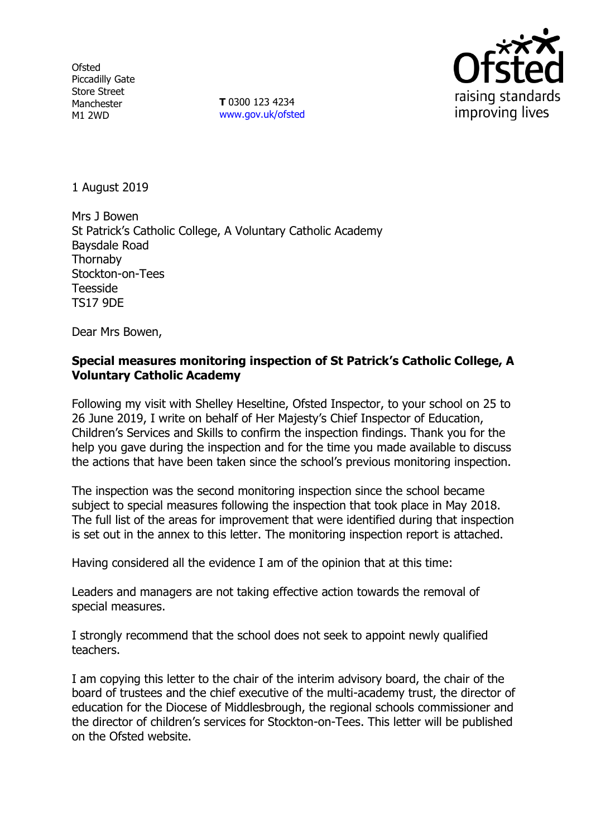**Ofsted** Piccadilly Gate Store Street Manchester M1 2WD

**T** 0300 123 4234 www.gov.uk/ofsted



1 August 2019

Mrs J Bowen St Patrick's Catholic College, A Voluntary Catholic Academy Baysdale Road Thornaby Stockton-on-Tees Teesside TS17 9DE

Dear Mrs Bowen,

## **Special measures monitoring inspection of St Patrick's Catholic College, A Voluntary Catholic Academy**

Following my visit with Shelley Heseltine, Ofsted Inspector, to your school on 25 to 26 June 2019, I write on behalf of Her Majesty's Chief Inspector of Education, Children's Services and Skills to confirm the inspection findings. Thank you for the help you gave during the inspection and for the time you made available to discuss the actions that have been taken since the school's previous monitoring inspection.

The inspection was the second monitoring inspection since the school became subject to special measures following the inspection that took place in May 2018. The full list of the areas for improvement that were identified during that inspection is set out in the annex to this letter. The monitoring inspection report is attached.

Having considered all the evidence I am of the opinion that at this time:

Leaders and managers are not taking effective action towards the removal of special measures.

I strongly recommend that the school does not seek to appoint newly qualified teachers.

I am copying this letter to the chair of the interim advisory board, the chair of the board of trustees and the chief executive of the multi-academy trust, the director of education for the Diocese of Middlesbrough, the regional schools commissioner and the director of children's services for Stockton-on-Tees. This letter will be published on the Ofsted website.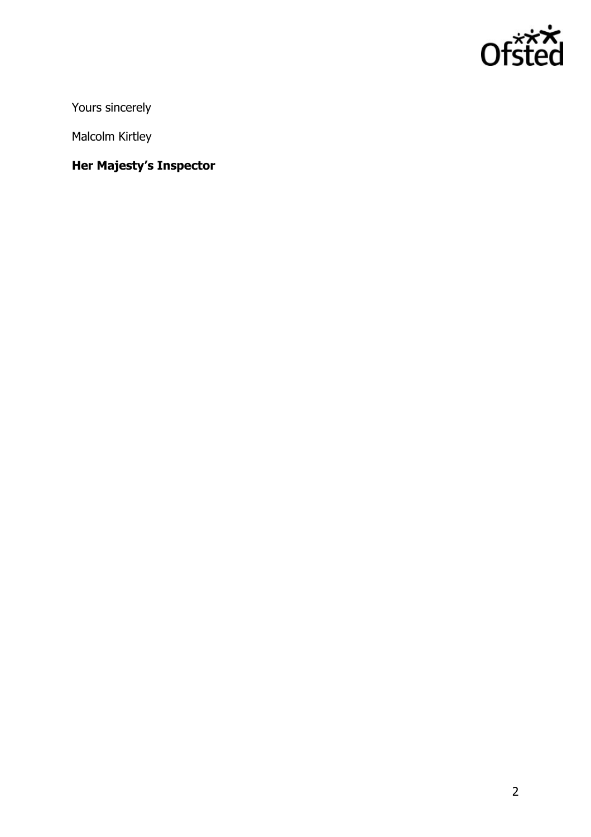

Yours sincerely

Malcolm Kirtley

# **Her Majesty's Inspector**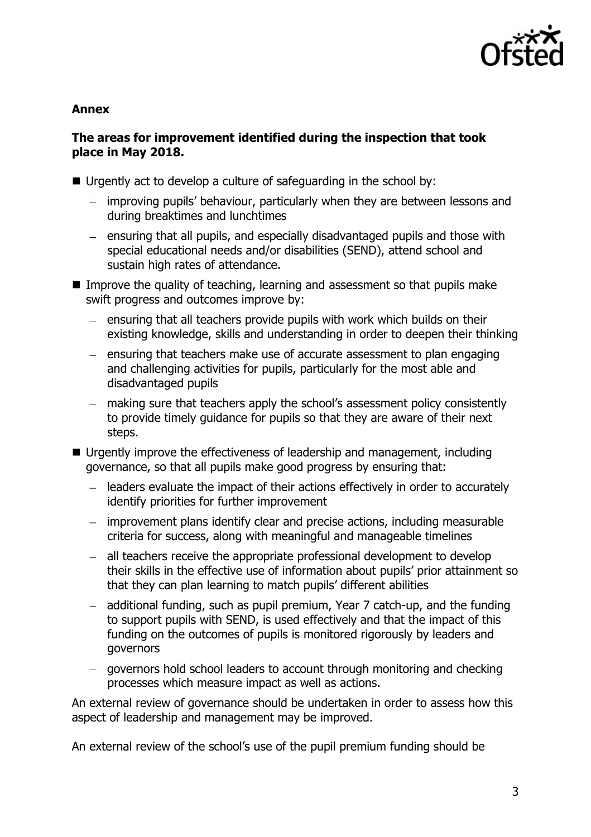

## **Annex**

## **The areas for improvement identified during the inspection that took place in May 2018.**

- Urgently act to develop a culture of safeguarding in the school by:
	- improving pupils' behaviour, particularly when they are between lessons and during breaktimes and lunchtimes
	- ensuring that all pupils, and especially disadvantaged pupils and those with special educational needs and/or disabilities (SEND), attend school and sustain high rates of attendance.
- Improve the quality of teaching, learning and assessment so that pupils make swift progress and outcomes improve by:
	- $-$  ensuring that all teachers provide pupils with work which builds on their existing knowledge, skills and understanding in order to deepen their thinking
	- $-$  ensuring that teachers make use of accurate assessment to plan engaging and challenging activities for pupils, particularly for the most able and disadvantaged pupils
	- making sure that teachers apply the school's assessment policy consistently to provide timely guidance for pupils so that they are aware of their next steps.
- Urgently improve the effectiveness of leadership and management, including governance, so that all pupils make good progress by ensuring that:
	- leaders evaluate the impact of their actions effectively in order to accurately identify priorities for further improvement
	- improvement plans identify clear and precise actions, including measurable criteria for success, along with meaningful and manageable timelines
	- all teachers receive the appropriate professional development to develop their skills in the effective use of information about pupils' prior attainment so that they can plan learning to match pupils' different abilities
	- additional funding, such as pupil premium, Year 7 catch-up, and the funding to support pupils with SEND, is used effectively and that the impact of this funding on the outcomes of pupils is monitored rigorously by leaders and governors
	- governors hold school leaders to account through monitoring and checking processes which measure impact as well as actions.

An external review of governance should be undertaken in order to assess how this aspect of leadership and management may be improved.

An external review of the school's use of the pupil premium funding should be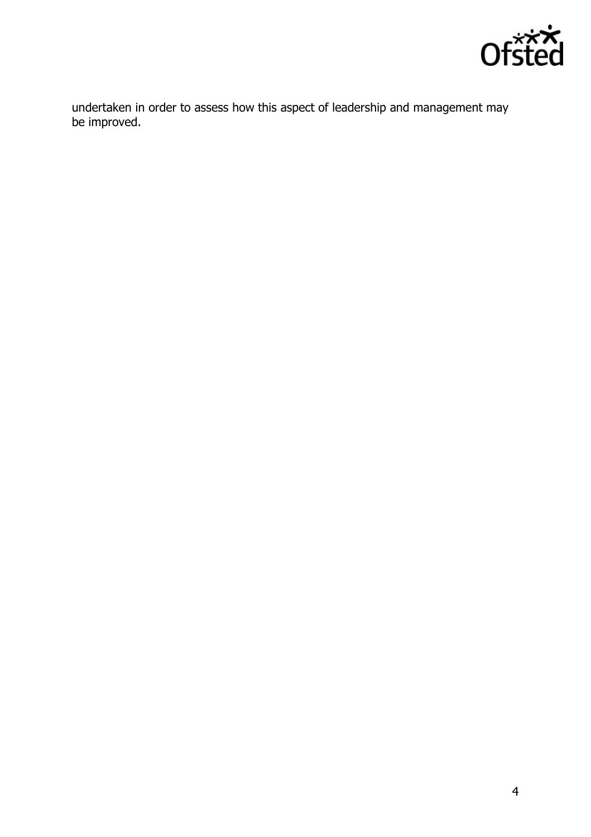

undertaken in order to assess how this aspect of leadership and management may be improved.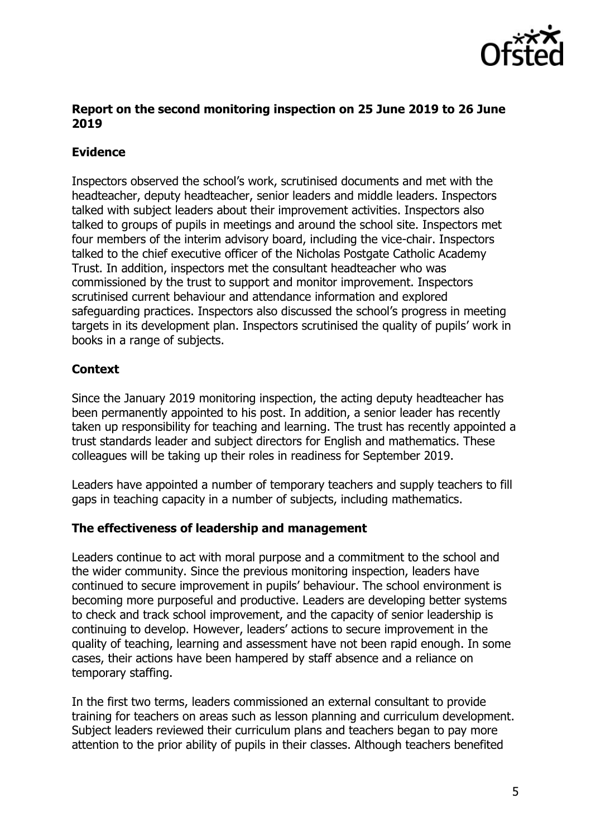

## **Report on the second monitoring inspection on 25 June 2019 to 26 June 2019**

## **Evidence**

Inspectors observed the school's work, scrutinised documents and met with the headteacher, deputy headteacher, senior leaders and middle leaders. Inspectors talked with subject leaders about their improvement activities. Inspectors also talked to groups of pupils in meetings and around the school site. Inspectors met four members of the interim advisory board, including the vice-chair. Inspectors talked to the chief executive officer of the Nicholas Postgate Catholic Academy Trust. In addition, inspectors met the consultant headteacher who was commissioned by the trust to support and monitor improvement. Inspectors scrutinised current behaviour and attendance information and explored safeguarding practices. Inspectors also discussed the school's progress in meeting targets in its development plan. Inspectors scrutinised the quality of pupils' work in books in a range of subjects.

## **Context**

Since the January 2019 monitoring inspection, the acting deputy headteacher has been permanently appointed to his post. In addition, a senior leader has recently taken up responsibility for teaching and learning. The trust has recently appointed a trust standards leader and subject directors for English and mathematics. These colleagues will be taking up their roles in readiness for September 2019.

Leaders have appointed a number of temporary teachers and supply teachers to fill gaps in teaching capacity in a number of subjects, including mathematics.

## **The effectiveness of leadership and management**

Leaders continue to act with moral purpose and a commitment to the school and the wider community. Since the previous monitoring inspection, leaders have continued to secure improvement in pupils' behaviour. The school environment is becoming more purposeful and productive. Leaders are developing better systems to check and track school improvement, and the capacity of senior leadership is continuing to develop. However, leaders' actions to secure improvement in the quality of teaching, learning and assessment have not been rapid enough. In some cases, their actions have been hampered by staff absence and a reliance on temporary staffing.

In the first two terms, leaders commissioned an external consultant to provide training for teachers on areas such as lesson planning and curriculum development. Subject leaders reviewed their curriculum plans and teachers began to pay more attention to the prior ability of pupils in their classes. Although teachers benefited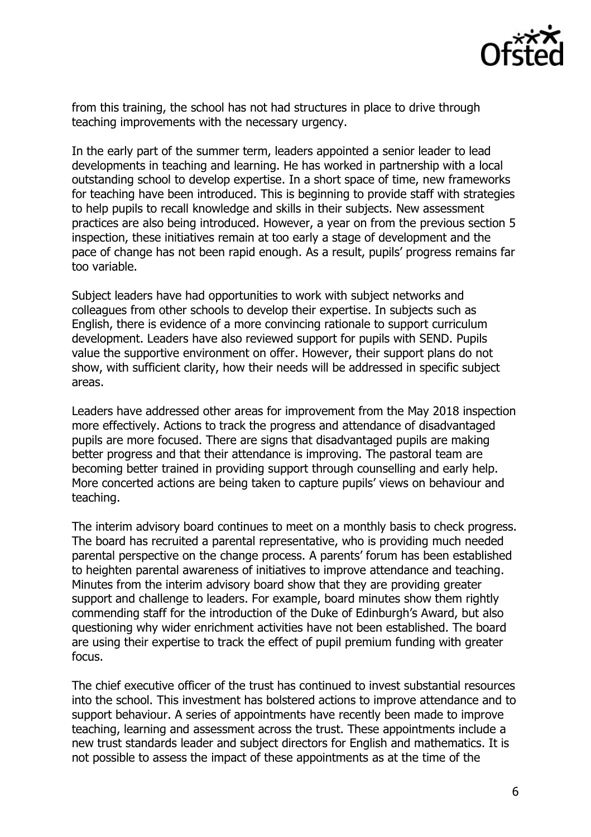

from this training, the school has not had structures in place to drive through teaching improvements with the necessary urgency.

In the early part of the summer term, leaders appointed a senior leader to lead developments in teaching and learning. He has worked in partnership with a local outstanding school to develop expertise. In a short space of time, new frameworks for teaching have been introduced. This is beginning to provide staff with strategies to help pupils to recall knowledge and skills in their subjects. New assessment practices are also being introduced. However, a year on from the previous section 5 inspection, these initiatives remain at too early a stage of development and the pace of change has not been rapid enough. As a result, pupils' progress remains far too variable.

Subject leaders have had opportunities to work with subject networks and colleagues from other schools to develop their expertise. In subjects such as English, there is evidence of a more convincing rationale to support curriculum development. Leaders have also reviewed support for pupils with SEND. Pupils value the supportive environment on offer. However, their support plans do not show, with sufficient clarity, how their needs will be addressed in specific subject areas.

Leaders have addressed other areas for improvement from the May 2018 inspection more effectively. Actions to track the progress and attendance of disadvantaged pupils are more focused. There are signs that disadvantaged pupils are making better progress and that their attendance is improving. The pastoral team are becoming better trained in providing support through counselling and early help. More concerted actions are being taken to capture pupils' views on behaviour and teaching.

The interim advisory board continues to meet on a monthly basis to check progress. The board has recruited a parental representative, who is providing much needed parental perspective on the change process. A parents' forum has been established to heighten parental awareness of initiatives to improve attendance and teaching. Minutes from the interim advisory board show that they are providing greater support and challenge to leaders. For example, board minutes show them rightly commending staff for the introduction of the Duke of Edinburgh's Award, but also questioning why wider enrichment activities have not been established. The board are using their expertise to track the effect of pupil premium funding with greater focus.

The chief executive officer of the trust has continued to invest substantial resources into the school. This investment has bolstered actions to improve attendance and to support behaviour. A series of appointments have recently been made to improve teaching, learning and assessment across the trust. These appointments include a new trust standards leader and subject directors for English and mathematics. It is not possible to assess the impact of these appointments as at the time of the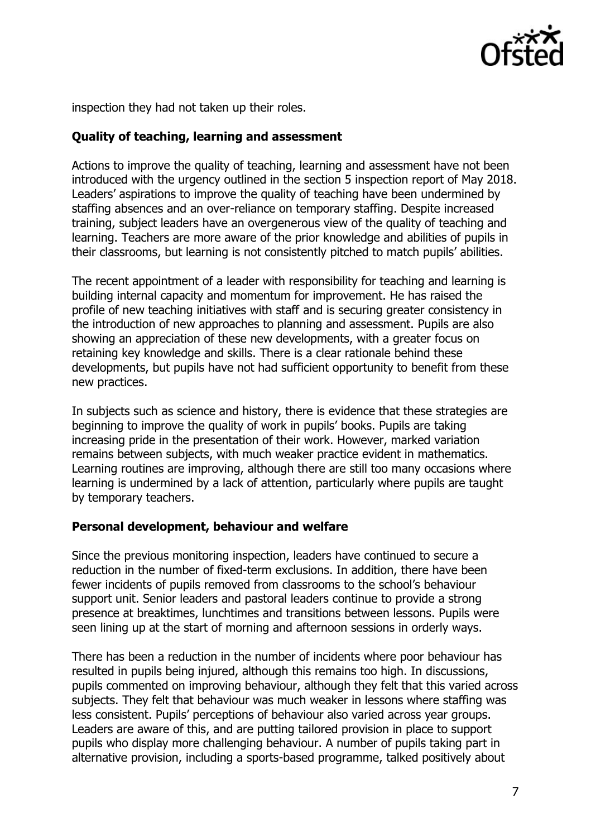

inspection they had not taken up their roles.

## **Quality of teaching, learning and assessment**

Actions to improve the quality of teaching, learning and assessment have not been introduced with the urgency outlined in the section 5 inspection report of May 2018. Leaders' aspirations to improve the quality of teaching have been undermined by staffing absences and an over-reliance on temporary staffing. Despite increased training, subject leaders have an overgenerous view of the quality of teaching and learning. Teachers are more aware of the prior knowledge and abilities of pupils in their classrooms, but learning is not consistently pitched to match pupils' abilities.

The recent appointment of a leader with responsibility for teaching and learning is building internal capacity and momentum for improvement. He has raised the profile of new teaching initiatives with staff and is securing greater consistency in the introduction of new approaches to planning and assessment. Pupils are also showing an appreciation of these new developments, with a greater focus on retaining key knowledge and skills. There is a clear rationale behind these developments, but pupils have not had sufficient opportunity to benefit from these new practices.

In subjects such as science and history, there is evidence that these strategies are beginning to improve the quality of work in pupils' books. Pupils are taking increasing pride in the presentation of their work. However, marked variation remains between subjects, with much weaker practice evident in mathematics. Learning routines are improving, although there are still too many occasions where learning is undermined by a lack of attention, particularly where pupils are taught by temporary teachers.

#### **Personal development, behaviour and welfare**

Since the previous monitoring inspection, leaders have continued to secure a reduction in the number of fixed-term exclusions. In addition, there have been fewer incidents of pupils removed from classrooms to the school's behaviour support unit. Senior leaders and pastoral leaders continue to provide a strong presence at breaktimes, lunchtimes and transitions between lessons. Pupils were seen lining up at the start of morning and afternoon sessions in orderly ways.

There has been a reduction in the number of incidents where poor behaviour has resulted in pupils being injured, although this remains too high. In discussions, pupils commented on improving behaviour, although they felt that this varied across subjects. They felt that behaviour was much weaker in lessons where staffing was less consistent. Pupils' perceptions of behaviour also varied across year groups. Leaders are aware of this, and are putting tailored provision in place to support pupils who display more challenging behaviour. A number of pupils taking part in alternative provision, including a sports-based programme, talked positively about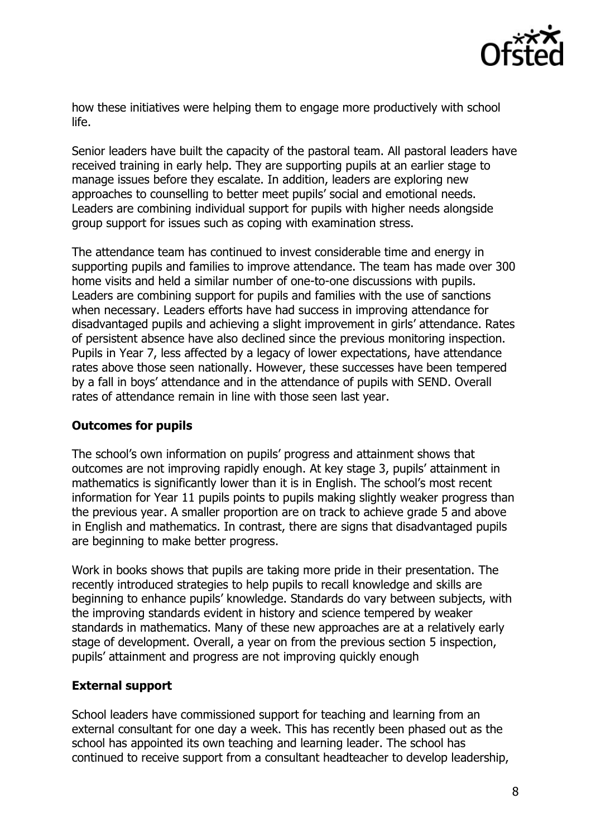

how these initiatives were helping them to engage more productively with school life.

Senior leaders have built the capacity of the pastoral team. All pastoral leaders have received training in early help. They are supporting pupils at an earlier stage to manage issues before they escalate. In addition, leaders are exploring new approaches to counselling to better meet pupils' social and emotional needs. Leaders are combining individual support for pupils with higher needs alongside group support for issues such as coping with examination stress.

The attendance team has continued to invest considerable time and energy in supporting pupils and families to improve attendance. The team has made over 300 home visits and held a similar number of one-to-one discussions with pupils. Leaders are combining support for pupils and families with the use of sanctions when necessary. Leaders efforts have had success in improving attendance for disadvantaged pupils and achieving a slight improvement in girls' attendance. Rates of persistent absence have also declined since the previous monitoring inspection. Pupils in Year 7, less affected by a legacy of lower expectations, have attendance rates above those seen nationally. However, these successes have been tempered by a fall in boys' attendance and in the attendance of pupils with SEND. Overall rates of attendance remain in line with those seen last year.

## **Outcomes for pupils**

The school's own information on pupils' progress and attainment shows that outcomes are not improving rapidly enough. At key stage 3, pupils' attainment in mathematics is significantly lower than it is in English. The school's most recent information for Year 11 pupils points to pupils making slightly weaker progress than the previous year. A smaller proportion are on track to achieve grade 5 and above in English and mathematics. In contrast, there are signs that disadvantaged pupils are beginning to make better progress.

Work in books shows that pupils are taking more pride in their presentation. The recently introduced strategies to help pupils to recall knowledge and skills are beginning to enhance pupils' knowledge. Standards do vary between subjects, with the improving standards evident in history and science tempered by weaker standards in mathematics. Many of these new approaches are at a relatively early stage of development. Overall, a year on from the previous section 5 inspection, pupils' attainment and progress are not improving quickly enough

## **External support**

School leaders have commissioned support for teaching and learning from an external consultant for one day a week. This has recently been phased out as the school has appointed its own teaching and learning leader. The school has continued to receive support from a consultant headteacher to develop leadership,